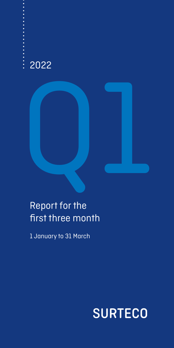## 2022



## Report for the first three month

1 January to 31 March

## **SURTECO**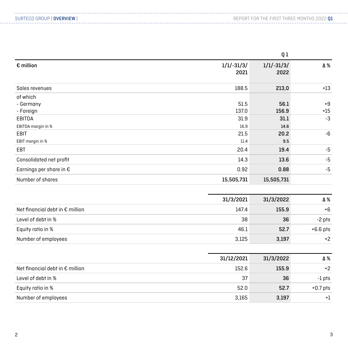|                                  |                      | Q1                   |       |
|----------------------------------|----------------------|----------------------|-------|
| $\epsilon$ million               | $1/1/-31/3/$<br>2021 | $1/1/-31/3/$<br>2022 | Δ%    |
| Sales revenues                   | 188.5                | 213,0                | $+13$ |
| of which                         |                      |                      |       |
| - Germany                        | 51.5                 | 56.1                 | $+9$  |
| - Foreign                        | 137.0                | 156.9                | $+15$ |
| EBITDA                           | 31.9                 | 31.1                 | $-3$  |
| EBITDA margin in %               | 16.9                 | 14.6                 |       |
| EBIT                             | 21.5                 | 20.2                 | -6    |
| EBIT margin in %                 | 11.4                 | 9.5                  |       |
| EBT                              | 20.4                 | 19.4                 | $-5$  |
| Consolidated net profit          | 14.3                 | 13.6                 | $-5$  |
| Earnings per share in $\epsilon$ | 0.92                 | 0.88                 | $-5$  |
| Number of shares                 | 15,505,731           | 15,505,731           |       |

|                                          | 31/3/2021 | 31/3/2022 | Δ%         |
|------------------------------------------|-----------|-----------|------------|
| Net financial debt in $\epsilon$ million | 147.4     | 155.9     | $+6$       |
| Level of debt in %                       | 38        | 36        | -2 pts     |
| Equity ratio in %                        | 46.1      | 52.7      | $+6.6$ pts |
| Number of employees                      | 3.125     | 3,197     | $+2$       |

|                                          | 31/12/2021 | 31/3/2022 | Δ%         |
|------------------------------------------|------------|-----------|------------|
| Net financial debt in $\epsilon$ million | 152.6      | 155.9     | $+2$       |
| Level of debt in %                       | 37         | 36        | -1 pts     |
| Equity ratio in %                        | 52.0       | 52.7      | $+0.7$ pts |
| Number of employees                      | 3.165      | 3,197     | $+1$       |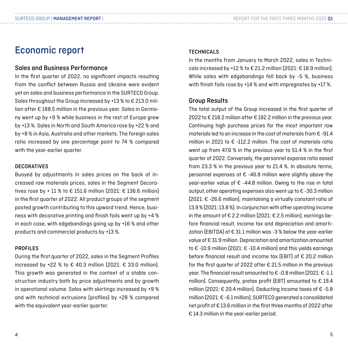#### REPORT FOR THE FIRST THREE MONTHS 2022 Q1

### Economic report

#### Sales and Business Performance

In the first quarter of 2022, no significant impacts resulting from the conflict between Russia and Ukraine were evident yet on sales and business performance in the SURTECO Group. Sales throughout the Group increased by +13 % to € 213.0 million after € 188.5 million in the previous year. Sales in Germany went up by +9 % while business in the rest of Europe grew by +13 %. Sales in North and South America rose by +22 % and by +8 % in Asia, Australia and other markets. The foreign sales ratio increased by one percentage point to 74 % compared with the year-earlier quarter.

#### **DECORATIVES**

Buoyed by adjustments in sales prices on the back of increased raw materials prices, sales in the Segment Decoratives rose by + 11 % to € 151.6 million (2021: € 136.6 million) in the first quarter of 2022. All product groups of the segment posted growth contributing to this upward trend. Hence, business with decorative printing and finish foils went up by +4 % in each case, with edgebandings going up by +16 % and other products and commercial products by +13 %.

#### PROFILES

During the first quarter of 2022, sales in the Segment Profiles increased by +22 % to  $\epsilon$  40.3 million (2021:  $\epsilon$  33.0 million). This growth was generated in the context of a stable construction industry both by price adjustments and by growth in operational volume. Sales with skirtings increased by +9 % and with technical extrusions (profiles) by +28 % compared with the equivalent year-earlier quarter.

#### **TECHNICALS**

In the months from January to March 2022, sales in Technicals increased by +12 % to  $\epsilon$  21.2 million (2021:  $\epsilon$  18.9 million). While sales with edgebandings fell back by -5 %, business with finish foils rose by +14 % and with impregnates by +17 %.

#### Group Results

The total output of the Group increased in the first quarter of 2022 to € 218.2 million after € 192.2 million in the previous year. Continuing high purchase prices for the most important raw materials led to an increase in the cost of materials from € -91.4 million in 2021 to  $\epsilon$  -112.2 million. The cost of materials ratio went up from 47.6 % in the previous year to 51.4 % in the first quarter of 2022. Conversely, the personnel expense ratio eased from 23.3 % in the previous year to 21.4 %. In absolute terms, personnel expenses at  $\epsilon$  -46.8 million were slightly above the vear-earlier value of € -44.8 million. Owing to the rise in total output, other operating expenses also went up to € -30.3 million (2021: € -26.6 million), maintaining a virtually constant ratio of 13.9 % (2021: 13.8 %). In conjunction with other operating income in the amount of  $\epsilon$  2.2 million (2021:  $\epsilon$  2.5 million), earnings before financial result, income tax and depreciation and amortization (EBITDA) at  $\epsilon$  31.1 million was -3 % below the year-earlier value of € 31.9 million. Depreciation and amortization amounted to € -10.9 million (2021: € -10.4 million) and this yields earnings before financial result and income tax (EBIT) of € 20.2 million for the first quarter of 2022 after € 21.5 million in the previous year. The financial result amounted to € -0.8 million (2021: € -1.1 million). Consequently, pretax profit (EBT) amounted to  $\epsilon$  19.4 million (2021: € 20.4 million). Deducting income taxes of € -5.8 million (2021: € -6.1 million), SURTECO generated a consolidated net profit of € 13.6 million in the first three months of 2022 after € 14.3 million in the year-earlier period.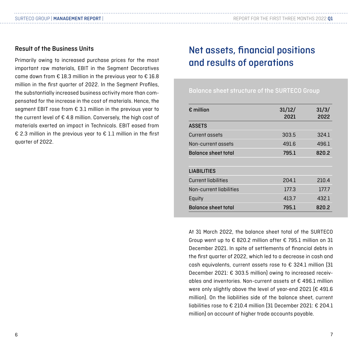#### Result of the Business Units

Primarily owing to increased purchase prices for the most important raw materials, EBIT in the Segment Decoratives came down from  $\epsilon$  18.3 million in the previous year to  $\epsilon$  16.8 million in the first quarter of 2022. In the Segment Profiles, the substantially increased business activity more than compensated for the increase in the cost of materials. Hence, the segment EBIT rose from € 3.1 million in the previous year to the current level of  $\epsilon$  4.8 million. Conversely, the high cost of materials exerted an impact in Technicals. EBIT eased from € 2.3 million in the previous year to € 1.1 million in the first quarter of 2022.

## Net assets, financial positions and results of operations

Balance sheet structure of the SURTECO Group

| $\epsilon$ million         | 31/12/<br>2021 | 31/3/<br>2022 |
|----------------------------|----------------|---------------|
| <b>ASSETS</b>              |                |               |
| Current assets             | 303.5          | 324.1         |
| Non-current assets         | 491.6          | 496.1         |
| <b>Balance sheet total</b> | 795.1          | 820.2         |
|                            |                |               |
| <b>LIABILITIES</b>         |                |               |
| <b>Current lighilities</b> | 204.1          | 210.4         |
| Non-current liabilities    | 177.3          | 177.7         |
| Equity                     | 413.7          | 432.1         |
| <b>Balance sheet total</b> | 795.1          | 820.2         |
|                            |                |               |

At 31 March 2022, the balance sheet total of the SURTECO Group went up to € 820.2 million after € 795.1 million on 31 December 2021. In spite of settlements of financial debts in the first quarter of 2022, which led to a decrease in cash and cash equivalents, current assets rose to € 324.1 million (31 December 2021: € 303.5 million) owing to increased receivables and inventories. Non-current assets at € 496.1 million were only slightly above the level of year-end 2021 (€ 491.6) million). On the liabilities side of the balance sheet, current liabilities rose to € 210.4 million (31 December 2021: € 204.1 million) on account of higher trade accounts payable.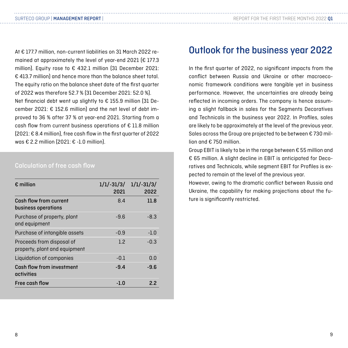At € 177.7 million, non-current liabilities on 31 March 2022 remained at approximately the level of year-end 2021 (€ 177.3 million). Equity rose to € 432.1 million (31 December 2021: € 413.7 million) and hence more than the balance sheet total. The equity ratio on the balance sheet date of the first quarter of 2022 was therefore 52.7 % (31 December 2021: 52.0 %). Net financial debt went up slightly to € 155.9 million (31 December 2021: € 152.6 million) and the net level of debt improved to 36 % after 37 % at year-end 2021. Starting from a cash flow from current business operations of € 11.8 million (2021: € 8.4 million), free cash flow in the first quarter of 2022 was € 2.2 million (2021: € -1.0 million).

#### Calculation of free cash flow

| $\epsilon$ million                                         | $1/1/-31/3/1/1/-31/3/$<br>2021 | 2022   |
|------------------------------------------------------------|--------------------------------|--------|
| Cash flow from current<br>business operations              | 8.4                            | 11.8   |
| Purchase of property, plant<br>and equipment               | $-9.6$                         | -8.3   |
| Purchase of intangible assets                              | -0.9                           | $-1.0$ |
| Proceeds from disposal of<br>property, plant and equipment | 1.2                            | $-0.3$ |
| Liquidation of companies                                   | $-0.1$                         | 0.O    |
| Cash flow from investment<br>activities                    | $-9.4$                         | -9.6   |
| Free cash flow                                             | $-1.0$                         | 2.2    |

#### Outlook for the business year 2022

In the first quarter of 2022, no significant impacts from the conflict between Russia and Ukraine or other macroeconomic framework conditions were tangible yet in business performance. However, the uncertainties are already being reflected in incoming orders. The company is hence assuming a slight fallback in sales for the Segments Decoratives and Technicals in the business year 2022. In Profiles, sales are likely to be approximately at the level of the previous year. Sales across the Group are projected to be between €730 million and  $£$  750 million.

Group EBIT is likely to be in the range between € 55 million and € 65 million. A slight decline in EBIT is anticipated for Decoratives and Technicals, while segment EBIT for Profiles is expected to remain at the level of the previous year.

However, owing to the dramatic conflict between Russia and Ukraine, the capability for making projections about the future is significantly restricted.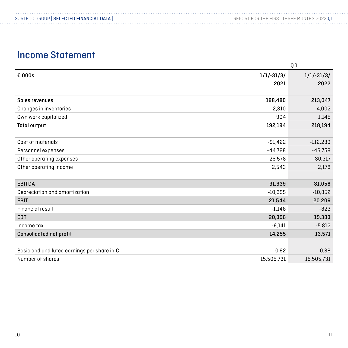## Income Statement

|                                                      |              | Ql           |
|------------------------------------------------------|--------------|--------------|
| € 000s                                               | $1/1/-31/3/$ | $1/1/-31/3/$ |
|                                                      | 2021         | 2022         |
|                                                      |              |              |
| Sales revenues                                       | 188,480      | 213,047      |
| Changes in inventories                               | 2,810        | 4,002        |
| Own work capitalized                                 | 904          | 1,145        |
| <b>Total output</b>                                  | 192,194      | 218,194      |
|                                                      |              |              |
| Cost of materials                                    | $-91,422$    | $-112,239$   |
| Personnel expenses                                   | $-44,798$    | $-46,758$    |
| Other operating expenses                             | $-26,578$    | $-30,317$    |
| Other operating income                               | 2,543        | 2,178        |
|                                                      |              |              |
| <b>EBITDA</b>                                        | 31,939       | 31,058       |
| Depreciation and amortization                        | $-10,395$    | $-10,852$    |
| <b>EBIT</b>                                          | 21,544       | 20,206       |
| Financial result                                     | $-1.148$     | $-823$       |
| <b>EBT</b>                                           | 20,396       | 19,383       |
| Income tax                                           | $-6,141$     | $-5,812$     |
| Consolidated net profit                              | 14,255       | 13,571       |
|                                                      |              |              |
| Basic and undiluted earnings per share in $\epsilon$ | 0.92         | 0.88         |
| Number of shares                                     | 15,505,731   | 15,505,731   |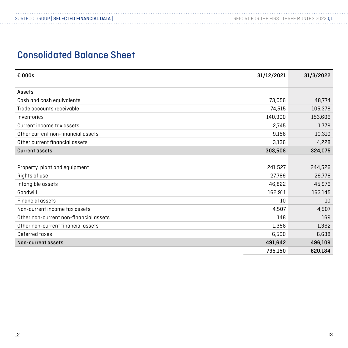## Consolidated Balance Sheet

. . . . . . . . . . . . . . . .

| $\epsilon$ 000s                        | 31/12/2021 | 31/3/2022 |
|----------------------------------------|------------|-----------|
| Assets                                 |            |           |
| Cash and cash equivalents              | 73,056     | 48,774    |
| Trade accounts receivable              | 74,515     | 105,378   |
| Inventories                            | 140,900    | 153,606   |
| Current income tax assets              | 2,745      | 1,779     |
| Other current non-financial assets     | 9,156      | 10,310    |
| Other current financial assets         | 3,136      | 4,228     |
| <b>Current assets</b>                  | 303,508    | 324,075   |
|                                        |            |           |
| Property, plant and equipment          | 241,527    | 244,526   |
| Rights of use                          | 27,769     | 29,776    |
| Intangible assets                      | 46,822     | 45,976    |
| Goodwill                               | 162,911    | 163,145   |
| <b>Financial assets</b>                | 10         | 10        |
| Non-current income tax assets          | 4,507      | 4,507     |
| Other non-current non-financial assets | 148        | 169       |
| Other non-current financial assets     | 1,358      | 1,362     |
| Deferred taxes                         | 6,590      | 6,638     |
| Non-current assets                     | 491,642    | 496,109   |
|                                        | 795,150    | 820,184   |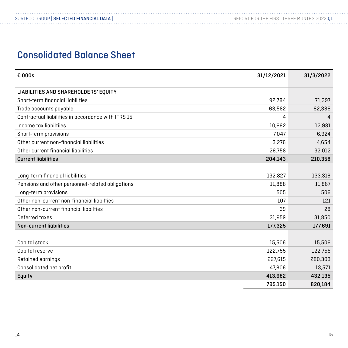## Consolidated Balance Sheet

| € 000s                                             | 31/12/2021 | 31/3/2022 |
|----------------------------------------------------|------------|-----------|
| LIABILITIES AND SHAREHOLDERS' EQUITY               |            |           |
| Short-term financial liabilities                   | 92,784     | 71,397    |
| Trade accounts payable                             | 63,582     | 82,386    |
| Contractual liabilities in accordance with IFRS 15 | 4          | 4         |
| Income tax liabiltiies                             | 10,692     | 12,981    |
| Short-term provisions                              | 7,047      | 6,924     |
| Other current non-financial liabilities            | 3,276      | 4,654     |
| Other current financial liabilities                | 26,758     | 32,012    |
| <b>Current liabilities</b>                         | 204,143    | 210,358   |
|                                                    |            |           |
| Long-term financial liabilities                    | 132,827    | 133,319   |
| Pensions and other personnel-related obligations   | 11,888     | 11,867    |
| Long-term provisions                               | 505        | 506       |
| Other non-current non-financial liabilties         | 107        | 121       |
| Other non-current financial liabilties             | 39         | 28        |
| Deferred taxes                                     | 31,959     | 31,850    |
| <b>Non-current liabilities</b>                     | 177,325    | 177,691   |
|                                                    |            |           |
| Capital stock                                      | 15,506     | 15,506    |
| Capital reserve                                    | 122,755    | 122,755   |
| Retained earnings                                  | 227,615    | 280,303   |
| Consolidated net profit                            | 47,806     | 13,571    |
| Equity                                             | 413,682    | 432,135   |
|                                                    | 795,150    | 820,184   |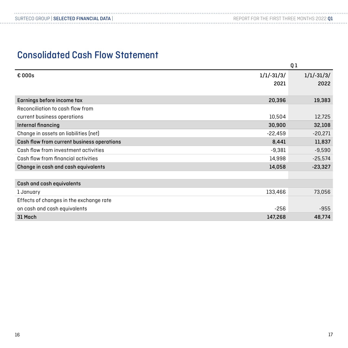## Consolidated Cash Flow Statement

|                                            |              | Q1           |
|--------------------------------------------|--------------|--------------|
| € 000s                                     | $1/1/-31/3/$ | $1/1/-31/3/$ |
|                                            | 2021         | 2022         |
|                                            |              |              |
| Earnings before income tax                 | 20,396       | 19,383       |
| Reconciliation to cash flow from           |              |              |
| current business operations                | 10,504       | 12,725       |
| Internal financing                         | 30,900       | 32,108       |
| Change in assets an liabilities (net)      | $-22,459$    | $-20,271$    |
| Cash flow from current business operations | 8,441        | 11,837       |
| Cash flow from investment activities       | $-9,381$     | $-9,590$     |
| Cash flow from financial activities        | 14,998       | $-25,574$    |
| Change in cash and cash equivalents        | 14,058       | $-23,327$    |
|                                            |              |              |
| Cash and cash equivalents                  |              |              |
| 1 January                                  | 133,466      | 73,056       |
| Effects of changes in the exchange rate    |              |              |
| on cash and cash equivalents               | $-256$       | $-955$       |
| 31 Mach                                    | 147,268      | 48,774       |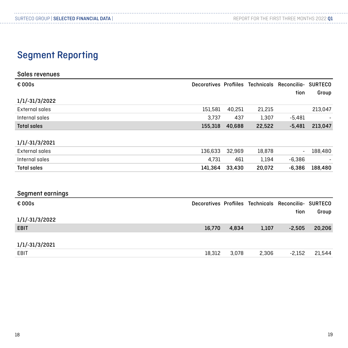## Segment Reporting

| Sales revenues     |         |        |        |                                                      |                |
|--------------------|---------|--------|--------|------------------------------------------------------|----------------|
| € 000s             |         |        |        | Decoratives Profiiles Technicals Reconcilia- SURTECO |                |
|                    |         |        |        | tion                                                 | Group          |
| 1/1/-31/3/2022     |         |        |        |                                                      |                |
| External sales     | 151,581 | 40,251 | 21,215 |                                                      | 213,047        |
| Internal sales     | 3,737   | 437    | 1,307  | $-5,481$                                             |                |
| <b>Total sales</b> | 155,318 | 40,688 | 22,522 | $-5,481$                                             | 213,047        |
|                    |         |        |        |                                                      |                |
| 1/1/-31/3/2021     |         |        |        |                                                      |                |
| External sales     | 136,633 | 32,969 | 18,878 |                                                      | 188,480        |
| Internal sales     | 4,731   | 461    | 1,194  | $-6,386$                                             |                |
| <b>Total sales</b> | 141,364 | 33,430 | 20,072 | $-6,386$                                             | 188,480        |
|                    |         |        |        |                                                      |                |
|                    |         |        |        |                                                      |                |
| Segment earnings   |         |        |        |                                                      |                |
| € 000s             |         |        |        | Decoratives Profiiles Technicals Reconcilia-         | <b>SURTECO</b> |
|                    |         |        |        | tion                                                 | Group          |
| 1/1/-31/3/2022     |         |        |        |                                                      |                |
| <b>EBIT</b>        | 16,770  | 4,834  | 1,107  | $-2,505$                                             | 20,206         |
|                    |         |        |        |                                                      |                |
| 1/1/-31/3/2021     |         |        |        |                                                      |                |
| <b>EBIT</b>        | 18,312  | 3,078  | 2,306  | $-2,152$                                             | 21,544         |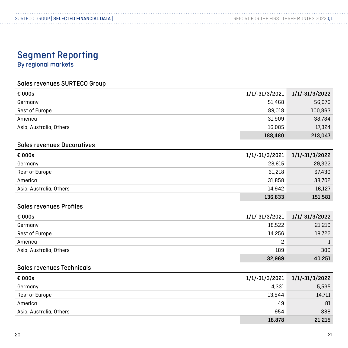## Segment Reporting

By regional markets

#### Sales revenues SURTECO Group

| € 000s                  | 1/1/-31/3/2021 | $1/1/-31/3/2022$ |
|-------------------------|----------------|------------------|
| Germany                 | 51.468         | 56,076           |
| Rest of Europe          | 89.018         | 100,863          |
| America                 | 31.909         | 38,784           |
| Asia, Australia, Others | 16,085         | 17,324           |
|                         | 188,480        | 213,047          |

#### Sales revenues Decoratives

| € 000s                  | $1/1/-31/3/2021$ | 1/1/-31/3/2022 |
|-------------------------|------------------|----------------|
| Germany                 | 28.615           | 29,322         |
| Rest of Europe          | 61,218           | 67,430         |
| America                 | 31.858           | 38,702         |
| Asia, Australia, Others | 14.942           | 16,127         |
|                         | 136,633          | 151,581        |

#### Sales revenues Profiles

| € 000s                  |        | $1/1/-31/3/2021$ $1/1/-31/3/2022$ |
|-------------------------|--------|-----------------------------------|
| Germany                 | 18.522 | 21,219                            |
| Rest of Europe          | 14.256 | 18,722                            |
| America                 |        |                                   |
| Asia, Australia, Others | 189    | 309                               |
|                         | 32,969 | 40,251                            |

#### Sales revenues Technicals

| $\epsilon$ 000s         |        | $1/1/-31/3/2021$ $1/1/-31/3/2022$ |
|-------------------------|--------|-----------------------------------|
| Germany                 | 4,331  | 5,535                             |
| Rest of Europe          | 13.544 | 14,711                            |
| America                 | 49     | 81                                |
| Asia, Australia, Others | 954    | 888                               |
|                         | 18,878 | 21,215                            |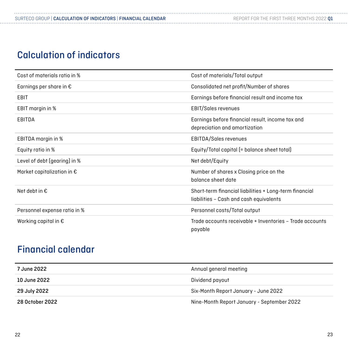## Calculation of indicators

| Cost of materials ratio in %        | Cost of materials/Total output                                                                    |
|-------------------------------------|---------------------------------------------------------------------------------------------------|
| Earnings per share in $\epsilon$    | Consolidated net profit/Number of shares                                                          |
| EBIT                                | Earnings before financial result and income tax                                                   |
| EBIT margin in %                    | <b>EBIT/Sales revenues</b>                                                                        |
| EBITDA                              | Earnings before financial result, income tax and<br>depreciation and amortization                 |
| EBITDA margin in %                  | EBITDA/Sales revenues                                                                             |
| Equity ratio in %                   | Equity/Total capital (= balance sheet total)                                                      |
| Level of debt (gearing) in %        | Net debt/Equity                                                                                   |
| Market capitalization in $\epsilon$ | Number of shares x Closing price on the<br>balance sheet date                                     |
| Net debt in $\epsilon$              | Short-term financial liabilities + Long-term financial<br>liabilities - Cash and cash equivalents |
| Personnel expense ratio in %        | Personnel costs/Total output                                                                      |
| Working capital in $\epsilon$       | Trade accounts receivable + Inventories - Trade accounts<br>payable                               |

## Financial calendar

| 7 June 2022     | Annual general meeting                     |
|-----------------|--------------------------------------------|
| 10 June 2022    | Dividend payout                            |
| 29 July 2022    | Six-Month Report January - June 2022       |
| 28 October 2022 | Nine-Month Report January - September 2022 |